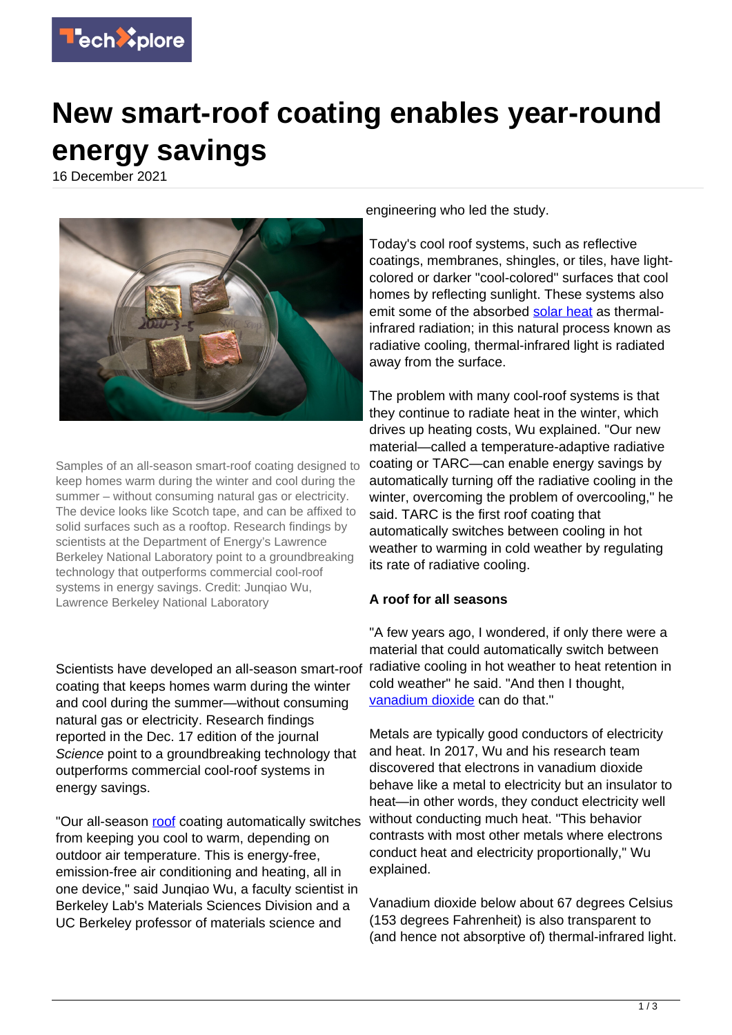

## **New smart-roof coating enables year-round energy savings**

16 December 2021



Samples of an all-season smart-roof coating designed to keep homes warm during the winter and cool during the summer – without consuming natural gas or electricity. The device looks like Scotch tape, and can be affixed to solid surfaces such as a rooftop. Research findings by scientists at the Department of Energy's Lawrence Berkeley National Laboratory point to a groundbreaking technology that outperforms commercial cool-roof systems in energy savings. Credit: Junqiao Wu, Lawrence Berkeley National Laboratory

Scientists have developed an all-season smart-roof coating that keeps homes warm during the winter and cool during the summer—without consuming natural gas or electricity. Research findings reported in the Dec. 17 edition of the journal Science point to a groundbreaking technology that outperforms commercial cool-roof systems in energy savings.

"Our all-season [roof](https://techxplore.com/tags/roof/) coating automatically switches from keeping you cool to warm, depending on outdoor air temperature. This is energy-free, emission-free air conditioning and heating, all in one device," said Junqiao Wu, a faculty scientist in Berkeley Lab's Materials Sciences Division and a UC Berkeley professor of materials science and

engineering who led the study.

Today's cool roof systems, such as reflective coatings, membranes, shingles, or tiles, have lightcolored or darker "cool-colored" surfaces that cool homes by reflecting sunlight. These systems also emit some of the absorbed [solar heat](https://techxplore.com/tags/solar+heat/) as thermalinfrared radiation; in this natural process known as radiative cooling, thermal-infrared light is radiated away from the surface.

The problem with many cool-roof systems is that they continue to radiate heat in the winter, which drives up heating costs, Wu explained. "Our new material—called a temperature-adaptive radiative coating or TARC—can enable energy savings by automatically turning off the radiative cooling in the winter, overcoming the problem of overcooling," he said. TARC is the first roof coating that automatically switches between cooling in hot weather to warming in cold weather by regulating its rate of radiative cooling.

## **A roof for all seasons**

"A few years ago, I wondered, if only there were a material that could automatically switch between radiative cooling in hot weather to heat retention in cold weather" he said. "And then I thought, [vanadium dioxide](https://techxplore.com/tags/vanadium+dioxide/) can do that."

Metals are typically good conductors of electricity and heat. In 2017, Wu and his research team discovered that electrons in vanadium dioxide behave like a metal to electricity but an insulator to heat—in other words, they conduct electricity well without conducting much heat. "This behavior contrasts with most other metals where electrons conduct heat and electricity proportionally," Wu explained.

Vanadium dioxide below about 67 degrees Celsius (153 degrees Fahrenheit) is also transparent to (and hence not absorptive of) thermal-infrared light.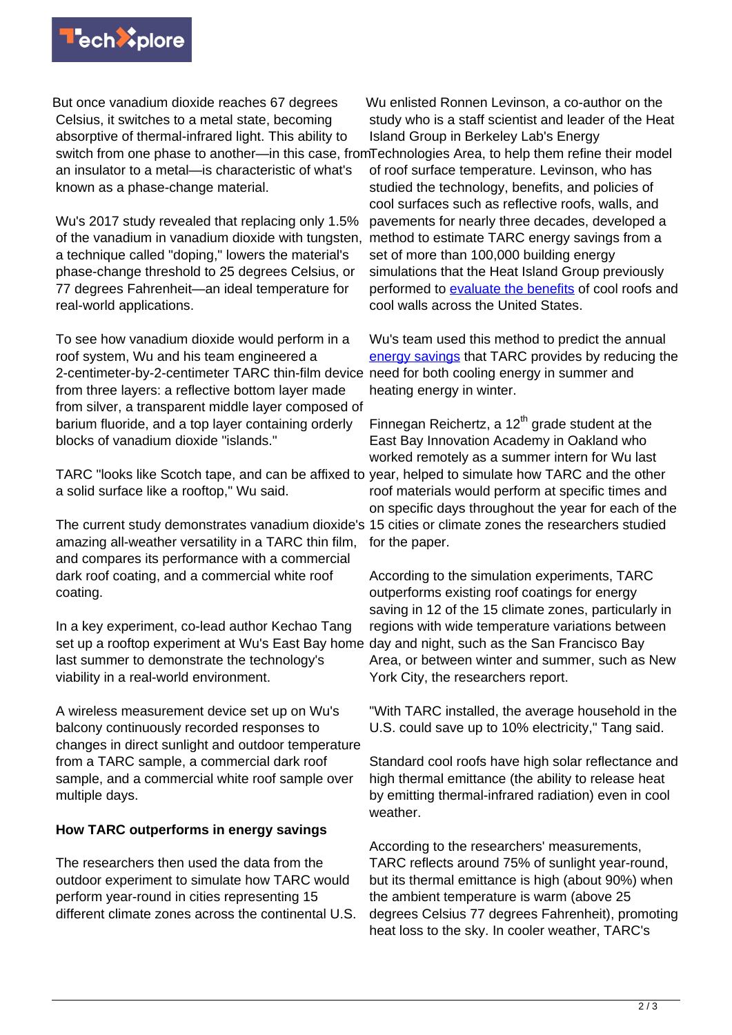

But once vanadium dioxide reaches 67 degrees Celsius, it switches to a metal state, becoming absorptive of thermal-infrared light. This ability to switch from one phase to another—in this case, from Technologies Area, to help them refine their model an insulator to a metal—is characteristic of what's known as a phase-change material.

Wu's 2017 study revealed that replacing only 1.5% of the vanadium in vanadium dioxide with tungsten, a technique called "doping," lowers the material's phase-change threshold to 25 degrees Celsius, or 77 degrees Fahrenheit—an ideal temperature for real-world applications.

To see how vanadium dioxide would perform in a roof system, Wu and his team engineered a 2-centimeter-by-2-centimeter TARC thin-film device from three layers: a reflective bottom layer made from silver, a transparent middle layer composed of barium fluoride, and a top layer containing orderly blocks of vanadium dioxide "islands."

TARC "looks like Scotch tape, and can be affixed to year, helped to simulate how TARC and the other a solid surface like a rooftop," Wu said.

The current study demonstrates vanadium dioxide's 15 cities or climate zones the researchers studied amazing all-weather versatility in a TARC thin film, and compares its performance with a commercial dark roof coating, and a commercial white roof coating.

In a key experiment, co-lead author Kechao Tang set up a rooftop experiment at Wu's East Bay home day and night, such as the San Francisco Bay last summer to demonstrate the technology's viability in a real-world environment.

A wireless measurement device set up on Wu's balcony continuously recorded responses to changes in direct sunlight and outdoor temperature from a TARC sample, a commercial dark roof sample, and a commercial white roof sample over multiple days.

## **How TARC outperforms in energy savings**

The researchers then used the data from the outdoor experiment to simulate how TARC would perform year-round in cities representing 15 different climate zones across the continental U.S.

Wu enlisted Ronnen Levinson, a co-author on the study who is a staff scientist and leader of the Heat Island Group in Berkeley Lab's Energy of roof surface temperature. Levinson, who has studied the technology, benefits, and policies of cool surfaces such as reflective roofs, walls, and pavements for nearly three decades, developed a method to estimate TARC energy savings from a set of more than 100,000 building energy simulations that the Heat Island Group previously performed to [evaluate the benefits](https://doi.org/10.1016/j.enbuild.2019.02.028) of cool roofs and cool walls across the United States.

Wu's team used this method to predict the annual [energy savings](https://techxplore.com/tags/energy+savings/) that TARC provides by reducing the need for both cooling energy in summer and heating energy in winter.

Finnegan Reichertz, a  $12<sup>th</sup>$  grade student at the East Bay Innovation Academy in Oakland who worked remotely as a summer intern for Wu last roof materials would perform at specific times and on specific days throughout the year for each of the for the paper.

According to the simulation experiments, TARC outperforms existing roof coatings for energy saving in 12 of the 15 climate zones, particularly in regions with wide temperature variations between Area, or between winter and summer, such as New York City, the researchers report.

"With TARC installed, the average household in the U.S. could save up to 10% electricity," Tang said.

Standard cool roofs have high solar reflectance and high thermal emittance (the ability to release heat by emitting thermal-infrared radiation) even in cool weather.

According to the researchers' measurements, TARC reflects around 75% of sunlight year-round, but its thermal emittance is high (about 90%) when the ambient temperature is warm (above 25 degrees Celsius 77 degrees Fahrenheit), promoting heat loss to the sky. In cooler weather, TARC's